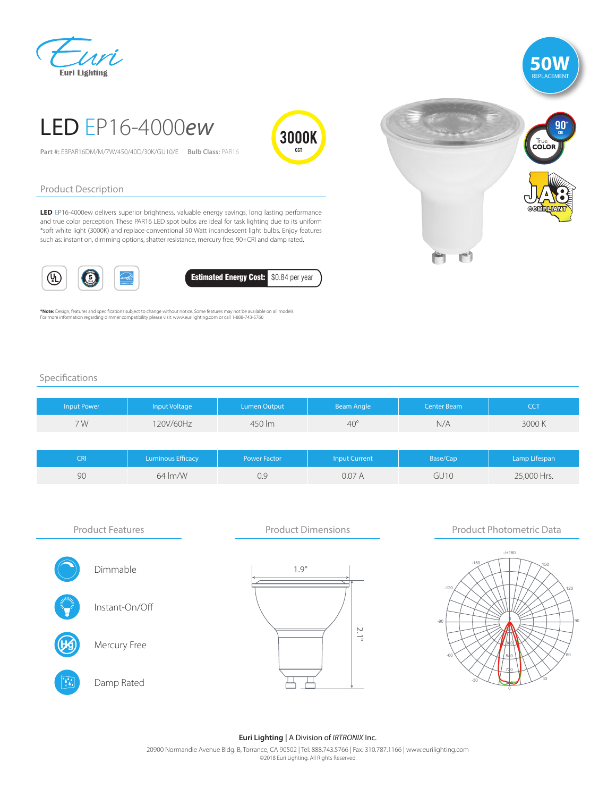## 'Ari **Euri Lighting**



# LED EP16-4000*ew*

**Part #:** EBPAR16DM/M/7W/450/40D/30K/GU10/E **Bulb Class:** PAR16



#### Product Description

LED EP16-4000ew delivers superior brightness, valuable energy savings, long lasting performance and true color perception. These PAR16 LED spot bulbs are ideal for task lighting due to its uniform \*soft white light (3000K) and replace conventional 50 Watt incandescent light bulbs. Enjoy features such as: instant on, dimming options, shatter resistance, mercury free, 90+CRI and damp rated.





**\*Note:** Design, features and specifications subject to change without notice. Some features may not be available on all models.<br>For more information regarding dimmer compatibility please visit: www.eurilighting.com or cal



#### Specifications

| Input Power | Input Voltage | Lumen Output | <b>Beam Angle</b> | Center Beam | CCT   |
|-------------|---------------|--------------|-------------------|-------------|-------|
| 7 W         | 120V/60Hz     | 450 lm       | $40^\circ$        | N/A         | 3000K |
|             |               |              |                   |             |       |

| IRI | <b>Luminous Efficacy</b> | <b>Power Factor</b> | <b>Input Current</b> | Base/Cap | Lamp Lifespan |
|-----|--------------------------|---------------------|----------------------|----------|---------------|
| 90  | $64 \, \text{Im/W}$      | 0.9                 | 0.07A                | GU10     | 25,000 Hrs.   |



#### **Euri Lighting |** A Division of *IRTRONIX* Inc.